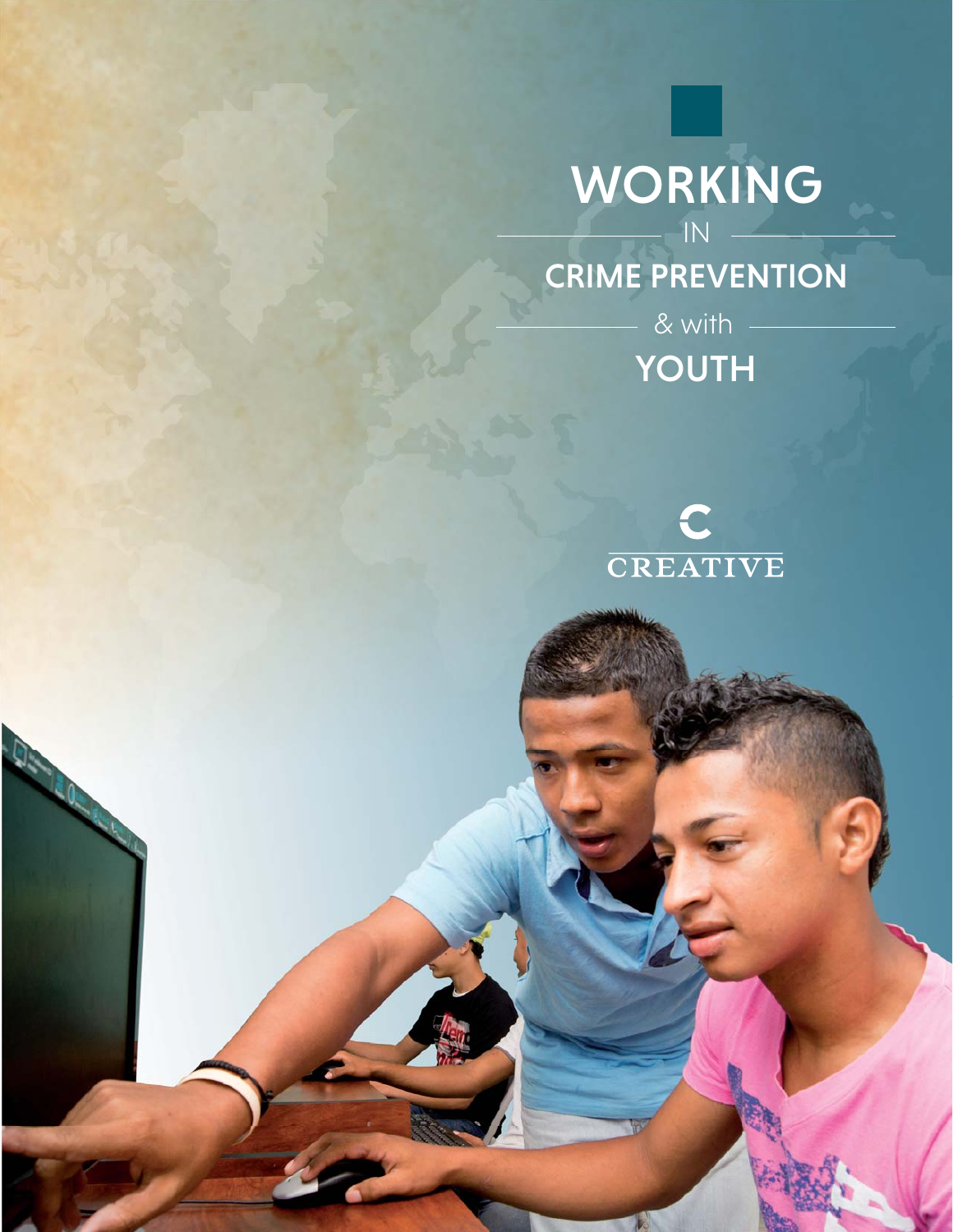

## CRIME PREVENTION

YOUTH  $-8$  with  $-$ 



**De**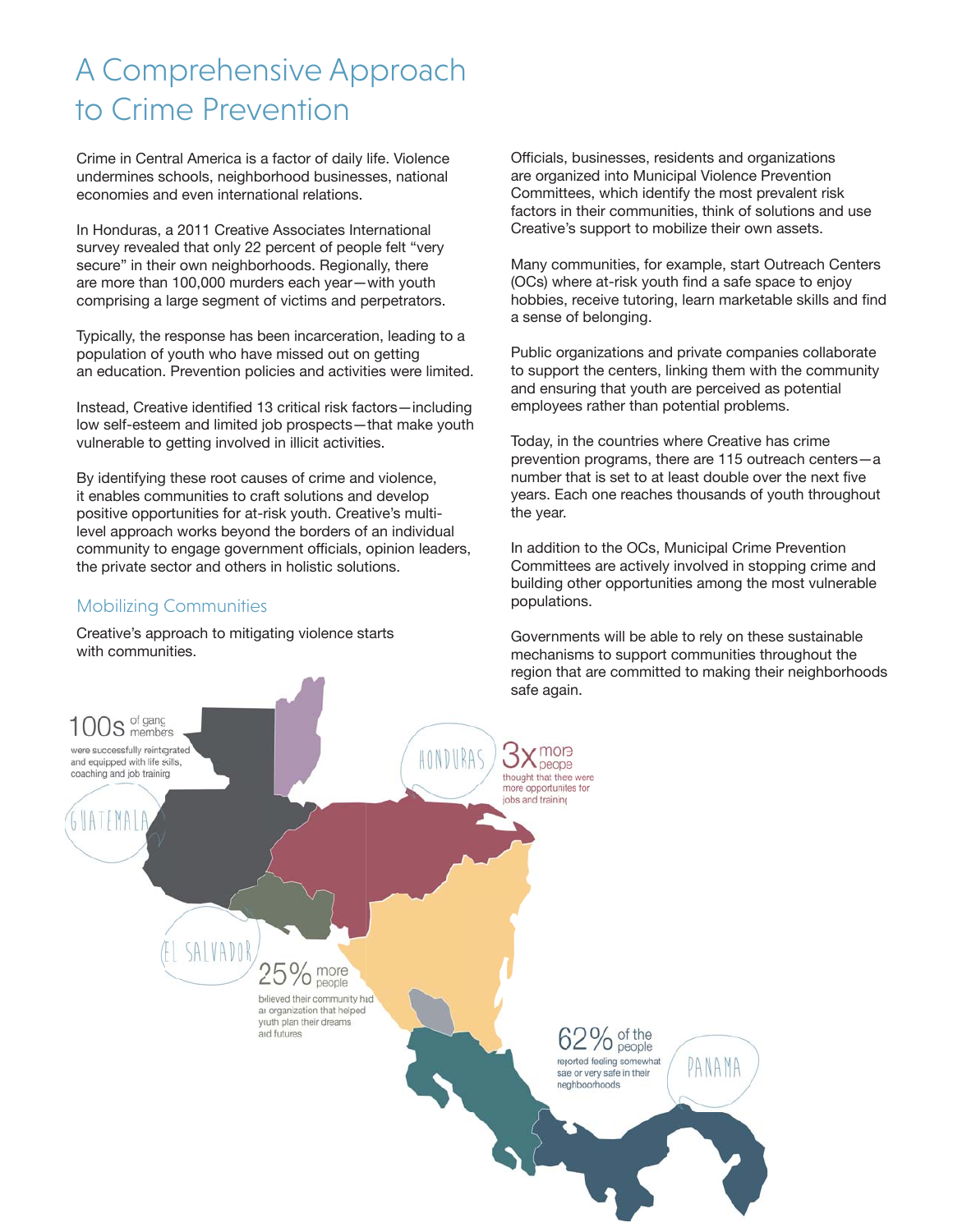### A Comprehensive Approach to Crime Prevention

Crime in Central America is a factor of daily life. Violence undermines schools, neighborhood businesses, national economies and even international relations.

In Honduras, a 2011 Creative Associates International survey revealed that only 22 percent of people felt "very secure" in their own neighborhoods. Regionally, there are more than 100,000 murders each year—with youth comprising a large segment of victims and perpetrators.

Typically, the response has been incarceration, leading to a population of youth who have missed out on getting an education. Prevention policies and activities were limited.

Instead, Creative identified 13 critical risk factors-including low self-esteem and limited job prospects—that make youth vulnerable to getting involved in illicit activities.

By identifying these root causes of crime and violence, it enables communities to craft solutions and develop positive opportunities for at-risk youth. Creative's multilevel approach works beyond the borders of an individual community to engage government officials, opinion leaders, the private sector and others in holistic solutions.

#### Mobilizing Communities

Creative's approach to mitigating violence starts with communities.

Officials, businesses, residents and organizations are organized into Municipal Violence Prevention Committees, which identify the most prevalent risk factors in their communities, think of solutions and use Creative's support to mobilize their own assets.

Many communities, for example, start Outreach Centers (OCs) where at-risk youth find a safe space to enjoy hobbies, receive tutoring, learn marketable skills and find a sense of belonging.

Public organizations and private companies collaborate to support the centers, linking them with the community and ensuring that youth are perceived as potential employees rather than potential problems.

Today, in the countries where Creative has crime prevention programs, there are 115 outreach centers—a number that is set to at least double over the next five years. Each one reaches thousands of youth throughout the year.

In addition to the OCs, Municipal Crime Prevention Committees are actively involved in stopping crime and building other opportunities among the most vulnerable populations.

Governments will be able to rely on these sustainable mechanisms to support communities throughout the region that are committed to making their neighborhoods

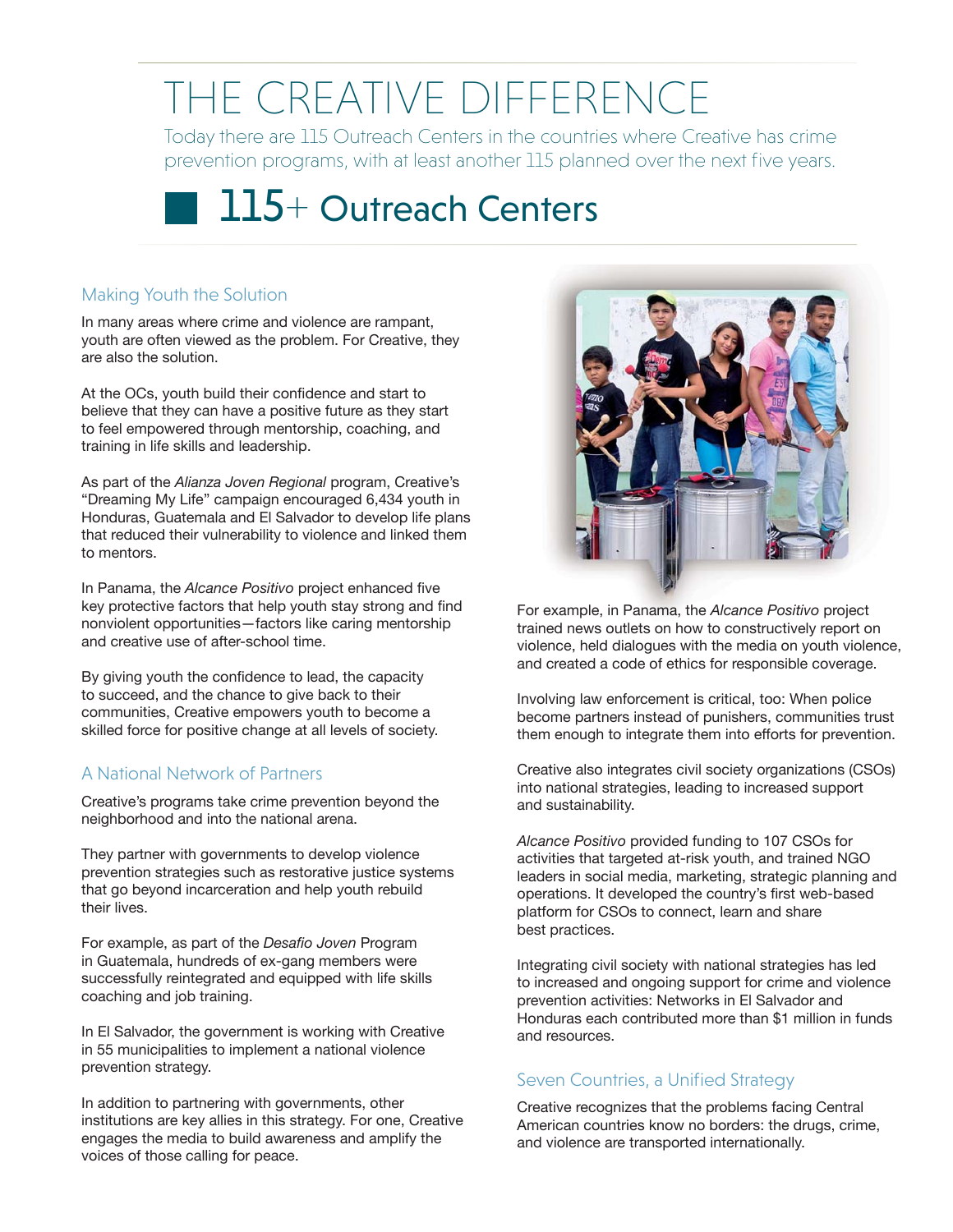# THE CREATIVE DIFFERENCE

Today there are 115 Outreach Centers in the countries where Creative has crime prevention programs, with at least another 115 planned over the next five years.



#### Making Youth the Solution

In many areas where crime and violence are rampant, youth are often viewed as the problem. For Creative, they are also the solution.

At the OCs, youth build their confidence and start to believe that they can have a positive future as they start to feel empowered through mentorship, coaching, and training in life skills and leadership.

As part of the *Alianza Joven Regional* program, Creative's "Dreaming My Life" campaign encouraged 6,434 youth in Honduras, Guatemala and El Salvador to develop life plans that reduced their vulnerability to violence and linked them to mentors.

In Panama, the Alcance Positivo project enhanced five key protective factors that help youth stay strong and find nonviolent opportunities—factors like caring mentorship and creative use of after-school time.

By giving youth the confidence to lead, the capacity to succeed, and the chance to give back to their communities, Creative empowers youth to become a skilled force for positive change at all levels of society.

#### A National Network of Partners

Creative's programs take crime prevention beyond the neighborhood and into the national arena.

They partner with governments to develop violence prevention strategies such as restorative justice systems that go beyond incarceration and help youth rebuild their lives.

For example, as part of the *Desafio Joven* Program in Guatemala, hundreds of ex-gang members were successfully reintegrated and equipped with life skills coaching and job training.

In El Salvador, the government is working with Creative in 55 municipalities to implement a national violence prevention strategy.

In addition to partnering with governments, other institutions are key allies in this strategy. For one, Creative engages the media to build awareness and amplify the voices of those calling for peace.



For example, in Panama, the Alcance Positivo project trained news outlets on how to constructively report on violence, held dialogues with the media on youth violence, and created a code of ethics for responsible coverage.

Involving law enforcement is critical, too: When police become partners instead of punishers, communities trust them enough to integrate them into efforts for prevention.

Creative also integrates civil society organizations (CSOs) into national strategies, leading to increased support and sustainability.

*Alcance Positivo* provided funding to 107 CSOs for activities that targeted at-risk youth, and trained NGO leaders in social media, marketing, strategic planning and operations. It developed the country's first web-based platform for CSOs to connect, learn and share best practices.

Integrating civil society with national strategies has led to increased and ongoing support for crime and violence prevention activities: Networks in El Salvador and Honduras each contributed more than \$1 million in funds and resources.

#### Seven Countries, a Unified Strategy

Creative recognizes that the problems facing Central American countries know no borders: the drugs, crime, and violence are transported internationally.